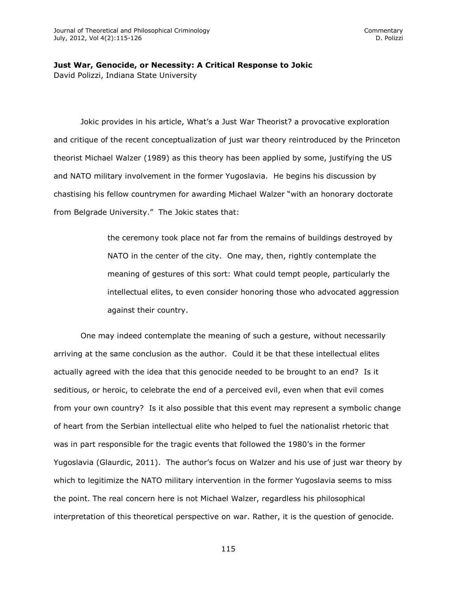## **Just War, Genocide, or Necessity: A Critical Response to Jokic** David Polizzi, Indiana State University

Jokic provides in his article, What's a Just War Theorist? a provocative exploration and critique of the recent conceptualization of just war theory reintroduced by the Princeton theorist Michael Walzer (1989) as this theory has been applied by some, justifying the US and NATO military involvement in the former Yugoslavia. He begins his discussion by chastising his fellow countrymen for awarding Michael Walzer "with an honorary doctorate from Belgrade University." The Jokic states that:

> the ceremony took place not far from the remains of buildings destroyed by NATO in the center of the city. One may, then, rightly contemplate the meaning of gestures of this sort: What could tempt people, particularly the intellectual elites, to even consider honoring those who advocated aggression against their country.

One may indeed contemplate the meaning of such a gesture, without necessarily arriving at the same conclusion as the author. Could it be that these intellectual elites actually agreed with the idea that this genocide needed to be brought to an end? Is it seditious, or heroic, to celebrate the end of a perceived evil, even when that evil comes from your own country? Is it also possible that this event may represent a symbolic change of heart from the Serbian intellectual elite who helped to fuel the nationalist rhetoric that was in part responsible for the tragic events that followed the 1980's in the former Yugoslavia (Glaurdic, 2011). The author's focus on Walzer and his use of just war theory by which to legitimize the NATO military intervention in the former Yugoslavia seems to miss the point. The real concern here is not Michael Walzer, regardless his philosophical interpretation of this theoretical perspective on war. Rather, it is the question of genocide.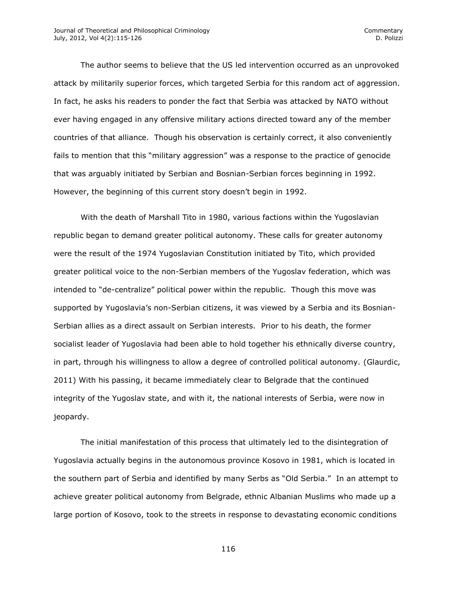The author seems to believe that the US led intervention occurred as an unprovoked attack by militarily superior forces, which targeted Serbia for this random act of aggression. In fact, he asks his readers to ponder the fact that Serbia was attacked by NATO without ever having engaged in any offensive military actions directed toward any of the member countries of that alliance. Though his observation is certainly correct, it also conveniently fails to mention that this "military aggression" was a response to the practice of genocide that was arguably initiated by Serbian and Bosnian-Serbian forces beginning in 1992. However, the beginning of this current story doesn't begin in 1992.

With the death of Marshall Tito in 1980, various factions within the Yugoslavian republic began to demand greater political autonomy. These calls for greater autonomy were the result of the 1974 Yugoslavian Constitution initiated by Tito, which provided greater political voice to the non-Serbian members of the Yugoslav federation, which was intended to "de-centralize" political power within the republic. Though this move was supported by Yugoslavia's non-Serbian citizens, it was viewed by a Serbia and its Bosnian-Serbian allies as a direct assault on Serbian interests. Prior to his death, the former socialist leader of Yugoslavia had been able to hold together his ethnically diverse country, in part, through his willingness to allow a degree of controlled political autonomy. (Glaurdic, 2011) With his passing, it became immediately clear to Belgrade that the continued integrity of the Yugoslav state, and with it, the national interests of Serbia, were now in jeopardy.

The initial manifestation of this process that ultimately led to the disintegration of Yugoslavia actually begins in the autonomous province Kosovo in 1981, which is located in the southern part of Serbia and identified by many Serbs as "Old Serbia." In an attempt to achieve greater political autonomy from Belgrade, ethnic Albanian Muslims who made up a large portion of Kosovo, took to the streets in response to devastating economic conditions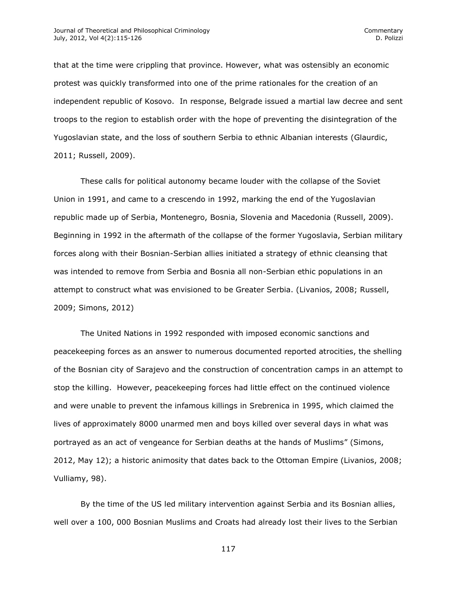that at the time were crippling that province. However, what was ostensibly an economic protest was quickly transformed into one of the prime rationales for the creation of an independent republic of Kosovo. In response, Belgrade issued a martial law decree and sent troops to the region to establish order with the hope of preventing the disintegration of the Yugoslavian state, and the loss of southern Serbia to ethnic Albanian interests (Glaurdic, 2011; Russell, 2009).

These calls for political autonomy became louder with the collapse of the Soviet Union in 1991, and came to a crescendo in 1992, marking the end of the Yugoslavian republic made up of Serbia, Montenegro, Bosnia, Slovenia and Macedonia (Russell, 2009). Beginning in 1992 in the aftermath of the collapse of the former Yugoslavia, Serbian military forces along with their Bosnian-Serbian allies initiated a strategy of ethnic cleansing that was intended to remove from Serbia and Bosnia all non-Serbian ethic populations in an attempt to construct what was envisioned to be Greater Serbia. (Livanios, 2008; Russell, 2009; Simons, 2012)

The United Nations in 1992 responded with imposed economic sanctions and peacekeeping forces as an answer to numerous documented reported atrocities, the shelling of the Bosnian city of Sarajevo and the construction of concentration camps in an attempt to stop the killing. However, peacekeeping forces had little effect on the continued violence and were unable to prevent the infamous killings in Srebrenica in 1995, which claimed the lives of approximately 8000 unarmed men and boys killed over several days in what was portrayed as an act of vengeance for Serbian deaths at the hands of Muslims" (Simons, 2012, May 12); a historic animosity that dates back to the Ottoman Empire (Livanios, 2008; Vulliamy, 98).

By the time of the US led military intervention against Serbia and its Bosnian allies, well over a 100, 000 Bosnian Muslims and Croats had already lost their lives to the Serbian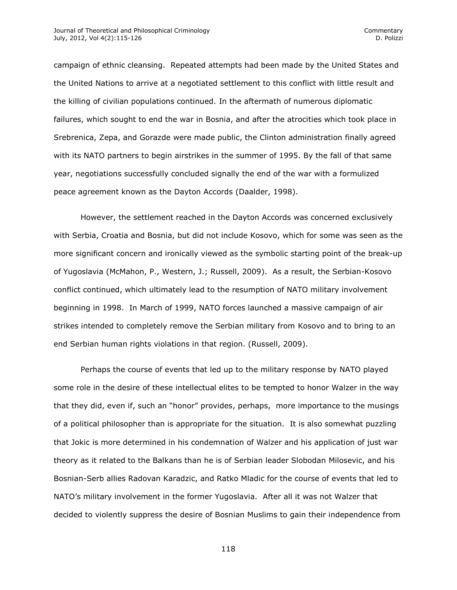campaign of ethnic cleansing. Repeated attempts had been made by the United States and the United Nations to arrive at a negotiated settlement to this conflict with little result and the killing of civilian populations continued. In the aftermath of numerous diplomatic failures, which sought to end the war in Bosnia, and after the atrocities which took place in Srebrenica, Zepa, and Gorazde were made public, the Clinton administration finally agreed with its NATO partners to begin airstrikes in the summer of 1995. By the fall of that same year, negotiations successfully concluded signally the end of the war with a formulized peace agreement known as the Dayton Accords (Daalder, 1998).

However, the settlement reached in the Dayton Accords was concerned exclusively with Serbia, Croatia and Bosnia, but did not include Kosovo, which for some was seen as the more significant concern and ironically viewed as the symbolic starting point of the break-up of Yugoslavia (McMahon, P., Western, J.; Russell, 2009). As a result, the Serbian-Kosovo conflict continued, which ultimately lead to the resumption of NATO military involvement beginning in 1998. In March of 1999, NATO forces launched a massive campaign of air strikes intended to completely remove the Serbian military from Kosovo and to bring to an end Serbian human rights violations in that region. (Russell, 2009).

Perhaps the course of events that led up to the military response by NATO played some role in the desire of these intellectual elites to be tempted to honor Walzer in the way that they did, even if, such an "honor" provides, perhaps, more importance to the musings of a political philosopher than is appropriate for the situation. It is also somewhat puzzling that Jokic is more determined in his condemnation of Walzer and his application of just war theory as it related to the Balkans than he is of Serbian leader Slobodan Milosevic, and his Bosnian-Serb allies Radovan Karadzic, and Ratko Mladic for the course of events that led to NATO's military involvement in the former Yugoslavia. After all it was not Walzer that decided to violently suppress the desire of Bosnian Muslims to gain their independence from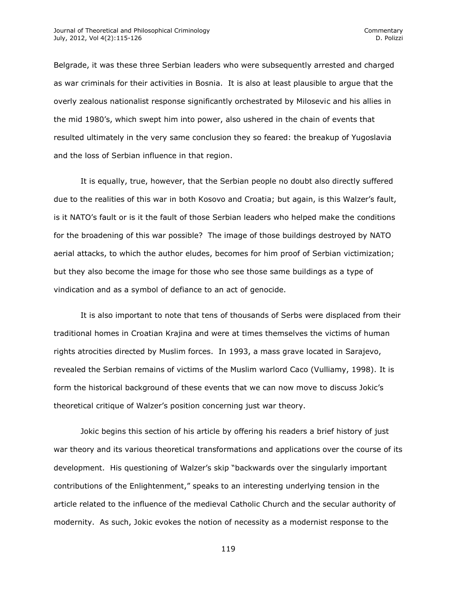Belgrade, it was these three Serbian leaders who were subsequently arrested and charged as war criminals for their activities in Bosnia. It is also at least plausible to argue that the overly zealous nationalist response significantly orchestrated by Milosevic and his allies in the mid 1980's, which swept him into power, also ushered in the chain of events that resulted ultimately in the very same conclusion they so feared: the breakup of Yugoslavia and the loss of Serbian influence in that region.

It is equally, true, however, that the Serbian people no doubt also directly suffered due to the realities of this war in both Kosovo and Croatia; but again, is this Walzer's fault, is it NATO's fault or is it the fault of those Serbian leaders who helped make the conditions for the broadening of this war possible? The image of those buildings destroyed by NATO aerial attacks, to which the author eludes, becomes for him proof of Serbian victimization; but they also become the image for those who see those same buildings as a type of vindication and as a symbol of defiance to an act of genocide.

It is also important to note that tens of thousands of Serbs were displaced from their traditional homes in Croatian Krajina and were at times themselves the victims of human rights atrocities directed by Muslim forces. In 1993, a mass grave located in Sarajevo, revealed the Serbian remains of victims of the Muslim warlord Caco (Vulliamy, 1998). It is form the historical background of these events that we can now move to discuss Jokic's theoretical critique of Walzer's position concerning just war theory.

Jokic begins this section of his article by offering his readers a brief history of just war theory and its various theoretical transformations and applications over the course of its development. His questioning of Walzer's skip "backwards over the singularly important contributions of the Enlightenment," speaks to an interesting underlying tension in the article related to the influence of the medieval Catholic Church and the secular authority of modernity. As such, Jokic evokes the notion of necessity as a modernist response to the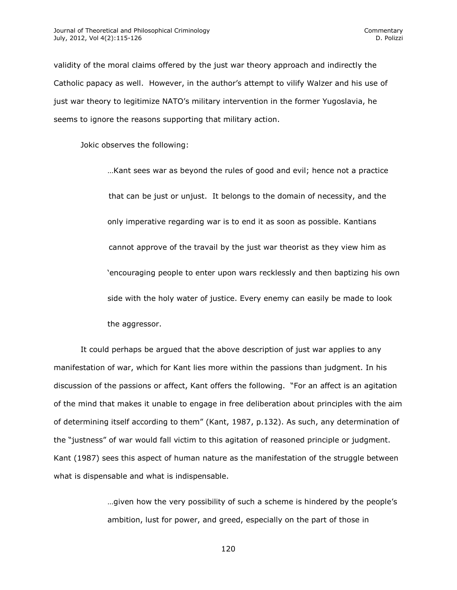validity of the moral claims offered by the just war theory approach and indirectly the Catholic papacy as well. However, in the author's attempt to vilify Walzer and his use of just war theory to legitimize NATO's military intervention in the former Yugoslavia, he seems to ignore the reasons supporting that military action.

Jokic observes the following:

…Kant sees war as beyond the rules of good and evil; hence not a practice that can be just or unjust. It belongs to the domain of necessity, and the only imperative regarding war is to end it as soon as possible. Kantians cannot approve of the travail by the just war theorist as they view him as 'encouraging people to enter upon wars recklessly and then baptizing his own side with the holy water of justice. Every enemy can easily be made to look the aggressor.

It could perhaps be argued that the above description of just war applies to any manifestation of war, which for Kant lies more within the passions than judgment. In his discussion of the passions or affect, Kant offers the following. "For an affect is an agitation of the mind that makes it unable to engage in free deliberation about principles with the aim of determining itself according to them" (Kant, 1987, p.132). As such, any determination of the "justness" of war would fall victim to this agitation of reasoned principle or judgment. Kant (1987) sees this aspect of human nature as the manifestation of the struggle between what is dispensable and what is indispensable.

> …given how the very possibility of such a scheme is hindered by the people's ambition, lust for power, and greed, especially on the part of those in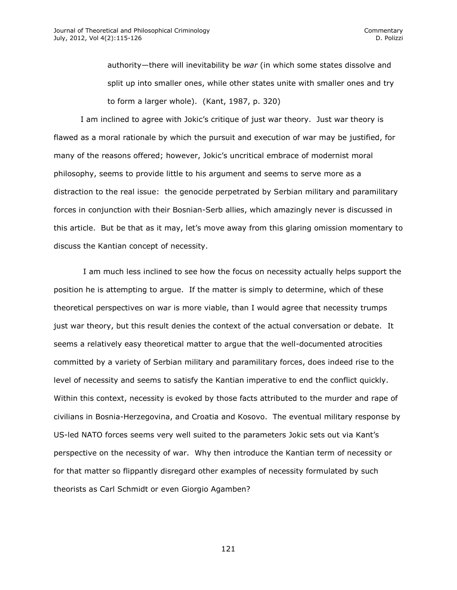authority—there will inevitability be *war* (in which some states dissolve and split up into smaller ones, while other states unite with smaller ones and try to form a larger whole). (Kant, 1987, p. 320)

I am inclined to agree with Jokic's critique of just war theory. Just war theory is flawed as a moral rationale by which the pursuit and execution of war may be justified, for many of the reasons offered; however, Jokic's uncritical embrace of modernist moral philosophy, seems to provide little to his argument and seems to serve more as a distraction to the real issue: the genocide perpetrated by Serbian military and paramilitary forces in conjunction with their Bosnian-Serb allies, which amazingly never is discussed in this article. But be that as it may, let's move away from this glaring omission momentary to discuss the Kantian concept of necessity.

I am much less inclined to see how the focus on necessity actually helps support the position he is attempting to argue. If the matter is simply to determine, which of these theoretical perspectives on war is more viable, than I would agree that necessity trumps just war theory, but this result denies the context of the actual conversation or debate. It seems a relatively easy theoretical matter to argue that the well-documented atrocities committed by a variety of Serbian military and paramilitary forces, does indeed rise to the level of necessity and seems to satisfy the Kantian imperative to end the conflict quickly. Within this context, necessity is evoked by those facts attributed to the murder and rape of civilians in Bosnia-Herzegovina, and Croatia and Kosovo. The eventual military response by US-led NATO forces seems very well suited to the parameters Jokic sets out via Kant's perspective on the necessity of war. Why then introduce the Kantian term of necessity or for that matter so flippantly disregard other examples of necessity formulated by such theorists as Carl Schmidt or even Giorgio Agamben?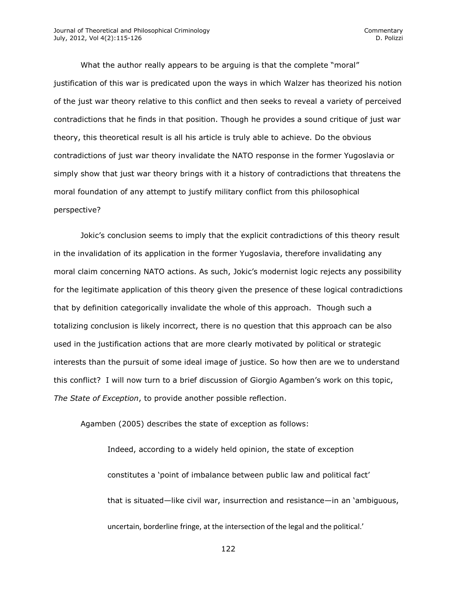What the author really appears to be arguing is that the complete "moral" justification of this war is predicated upon the ways in which Walzer has theorized his notion of the just war theory relative to this conflict and then seeks to reveal a variety of perceived contradictions that he finds in that position. Though he provides a sound critique of just war theory, this theoretical result is all his article is truly able to achieve. Do the obvious contradictions of just war theory invalidate the NATO response in the former Yugoslavia or simply show that just war theory brings with it a history of contradictions that threatens the moral foundation of any attempt to justify military conflict from this philosophical perspective?

Jokic's conclusion seems to imply that the explicit contradictions of this theory result in the invalidation of its application in the former Yugoslavia, therefore invalidating any moral claim concerning NATO actions. As such, Jokic's modernist logic rejects any possibility for the legitimate application of this theory given the presence of these logical contradictions that by definition categorically invalidate the whole of this approach. Though such a totalizing conclusion is likely incorrect, there is no question that this approach can be also used in the justification actions that are more clearly motivated by political or strategic interests than the pursuit of some ideal image of justice. So how then are we to understand this conflict? I will now turn to a brief discussion of Giorgio Agamben's work on this topic, *The State of Exception*, to provide another possible reflection.

Agamben (2005) describes the state of exception as follows:

Indeed, according to a widely held opinion, the state of exception constitutes a 'point of imbalance between public law and political fact' that is situated—like civil war, insurrection and resistance—in an 'ambiguous, uncertain, borderline fringe, at the intersection of the legal and the political.'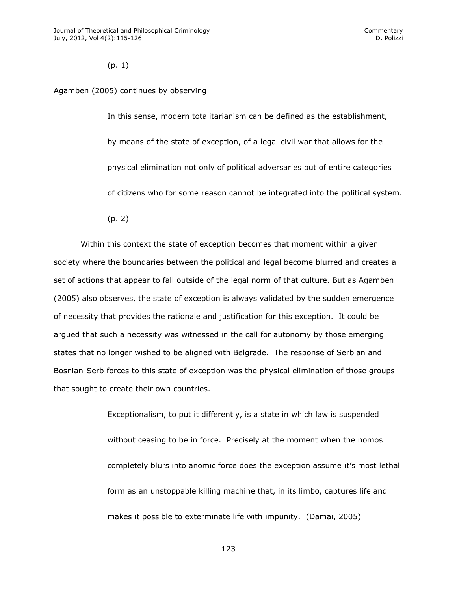(p. 1)

## Agamben (2005) continues by observing

In this sense, modern totalitarianism can be defined as the establishment, by means of the state of exception, of a legal civil war that allows for the physical elimination not only of political adversaries but of entire categories of citizens who for some reason cannot be integrated into the political system.

(p. 2)

Within this context the state of exception becomes that moment within a given society where the boundaries between the political and legal become blurred and creates a set of actions that appear to fall outside of the legal norm of that culture. But as Agamben (2005) also observes, the state of exception is always validated by the sudden emergence of necessity that provides the rationale and justification for this exception. It could be argued that such a necessity was witnessed in the call for autonomy by those emerging states that no longer wished to be aligned with Belgrade. The response of Serbian and Bosnian-Serb forces to this state of exception was the physical elimination of those groups that sought to create their own countries.

> Exceptionalism, to put it differently, is a state in which law is suspended without ceasing to be in force. Precisely at the moment when the nomos completely blurs into anomic force does the exception assume it's most lethal form as an unstoppable killing machine that, in its limbo, captures life and makes it possible to exterminate life with impunity. (Damai, 2005)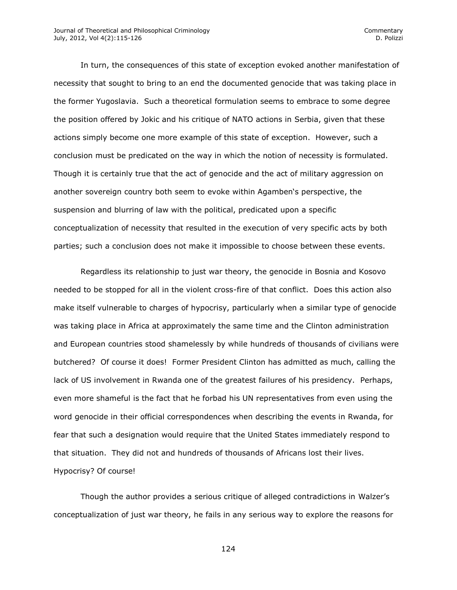In turn, the consequences of this state of exception evoked another manifestation of necessity that sought to bring to an end the documented genocide that was taking place in the former Yugoslavia. Such a theoretical formulation seems to embrace to some degree the position offered by Jokic and his critique of NATO actions in Serbia, given that these actions simply become one more example of this state of exception. However, such a conclusion must be predicated on the way in which the notion of necessity is formulated. Though it is certainly true that the act of genocide and the act of military aggression on another sovereign country both seem to evoke within Agamben's perspective, the suspension and blurring of law with the political, predicated upon a specific conceptualization of necessity that resulted in the execution of very specific acts by both parties; such a conclusion does not make it impossible to choose between these events.

Regardless its relationship to just war theory, the genocide in Bosnia and Kosovo needed to be stopped for all in the violent cross-fire of that conflict. Does this action also make itself vulnerable to charges of hypocrisy, particularly when a similar type of genocide was taking place in Africa at approximately the same time and the Clinton administration and European countries stood shamelessly by while hundreds of thousands of civilians were butchered? Of course it does! Former President Clinton has admitted as much, calling the lack of US involvement in Rwanda one of the greatest failures of his presidency. Perhaps, even more shameful is the fact that he forbad his UN representatives from even using the word genocide in their official correspondences when describing the events in Rwanda, for fear that such a designation would require that the United States immediately respond to that situation. They did not and hundreds of thousands of Africans lost their lives. Hypocrisy? Of course!

Though the author provides a serious critique of alleged contradictions in Walzer's conceptualization of just war theory, he fails in any serious way to explore the reasons for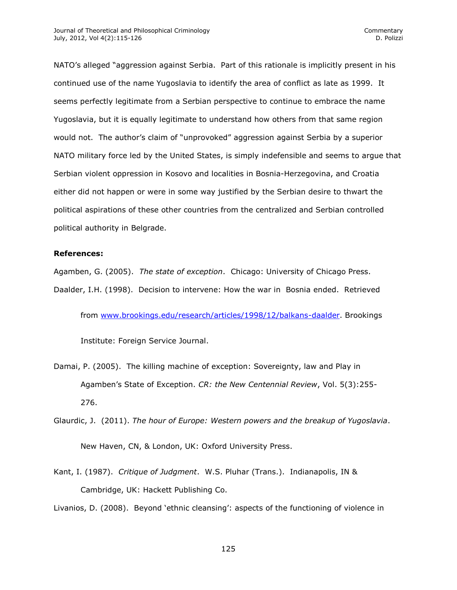NATO's alleged "aggression against Serbia. Part of this rationale is implicitly present in his continued use of the name Yugoslavia to identify the area of conflict as late as 1999. It seems perfectly legitimate from a Serbian perspective to continue to embrace the name Yugoslavia, but it is equally legitimate to understand how others from that same region would not. The author's claim of "unprovoked" aggression against Serbia by a superior NATO military force led by the United States, is simply indefensible and seems to argue that Serbian violent oppression in Kosovo and localities in Bosnia-Herzegovina, and Croatia either did not happen or were in some way justified by the Serbian desire to thwart the political aspirations of these other countries from the centralized and Serbian controlled political authority in Belgrade.

## **References:**

Agamben, G. (2005). *The state of exception*. Chicago: University of Chicago Press. Daalder, I.H. (1998). Decision to intervene: How the war in Bosnia ended. Retrieved

from [www.brookings.edu/research/articles/1998/12/balkans-daalder.](http://www.brookings.edu/research/articles/1998/12/balkans-daalder) Brookings

Institute: Foreign Service Journal.

- Damai, P. (2005). The killing machine of exception: Sovereignty, law and Play in Agamben's State of Exception. *CR: the New Centennial Review*, Vol. 5(3):255- 276.
- Glaurdic, J. (2011). *The hour of Europe: Western powers and the breakup of Yugoslavia*. New Haven, CN, & London, UK: Oxford University Press.
- Kant, I. (1987). *Critique of Judgment*. W.S. Pluhar (Trans.). Indianapolis, IN & Cambridge, UK: Hackett Publishing Co.

Livanios, D. (2008). Beyond 'ethnic cleansing': aspects of the functioning of violence in